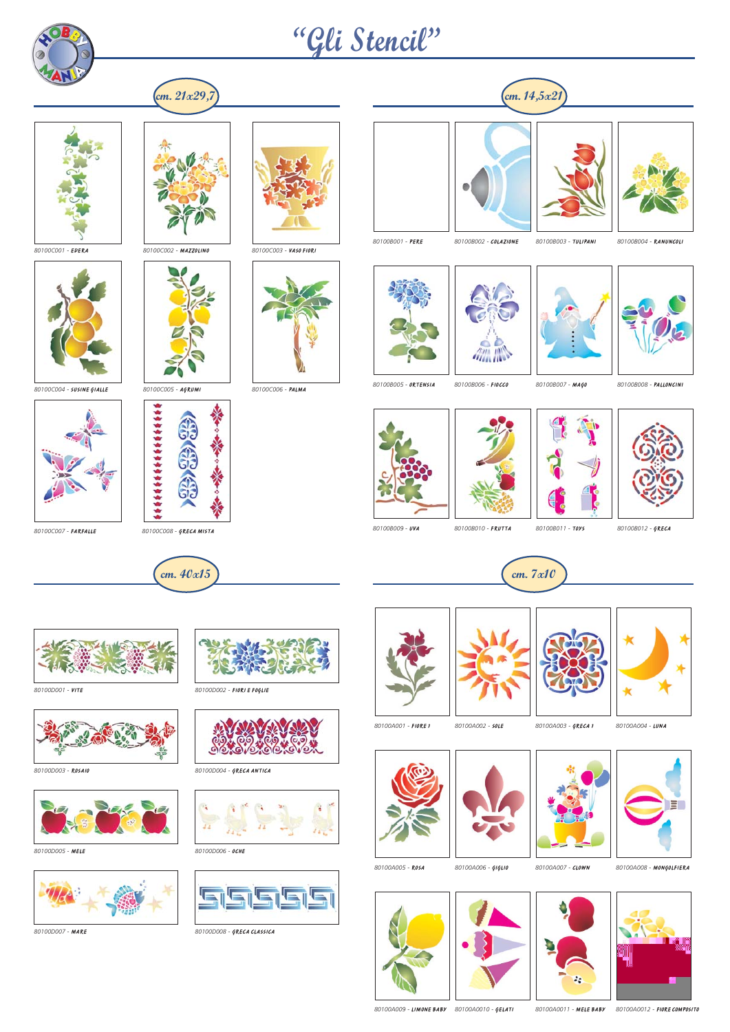

## **"Gli Stencil"**





*80100C001 -* EDERA *80100C002 -* MAZZOLINO *80100C003 -* VASO FIORI



*80100C004 -* SUSINE GIALLE *80100C005 -* AGRUMI *80100C006 -* PALMA













*80100B001 -* PERE *80100B002 -* COLAZIONE *80100B003 -* TULIPANI *80100B004 -* RANUNCOLI

















*80100C007 -* FARFALLE *80100C008 -* GRECA MISTA







*80100D003 -* ROSAIO *80100D004 -* GRECA ANTICA



*80100D005 -* MELE *80100D006 -* OCHE





*80100D001 -* VITE *80100D002 -* FIORI E FOGLIE







*80100D007 -* MARE *80100D008 -* GRECA CLASSICA













*80100A005 -* ROSA *80100A006 -* GIGLIO *80100A007 -* CLOWN *80100A008 -* MONGOLFIERA





*80100A009 -* LIMONE BABY *80100A0010 -* GELATI *80100A0011 -* MELE BABY *80100A0012 -* FIORE COMPOSITO